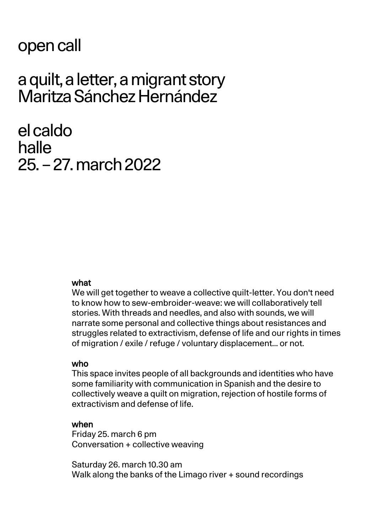## open call

# a quilt, aletter, amigrant story Maritza Sánchez Hernández

el caldo halle 25. – 27.march 2022

### what

We will get together to weave a collective quilt-letter. You don't need to know how to sew-embroider-weave: we will collaboratively tell stories. With threads and needles, and also with sounds, we will narrate some personal and collective things about resistances and struggles related to extractivism, defense of life and our rights in times of migration / exile / refuge / voluntary displacement... or not.

#### who

This space invites people of all backgrounds and identities who have some familiarity with communication in Spanish and the desire to collectively weave a quilt on migration, rejection of hostile forms of extractivism and defense of life.

#### when

Friday 25. march 6 pm Conversation + collective weaving

Saturday 26. march 10.30 am Walk along the banks of the Limago river + sound recordings